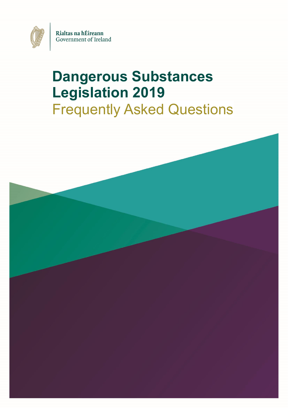

# **Dangerous Substances Legislation 2019** Frequently Asked Questions

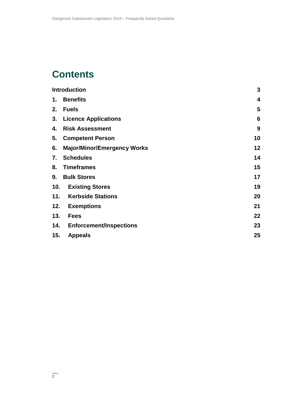# **Contents**

| <b>Introduction</b> |                                    | 3               |
|---------------------|------------------------------------|-----------------|
| 1.                  | <b>Benefits</b>                    | 4               |
| 2.                  | <b>Fuels</b>                       | 5               |
|                     | 3. Licence Applications            | $6\phantom{1}6$ |
| 4.                  | <b>Risk Assessment</b>             | 9               |
|                     | 5. Competent Person                | 10              |
| 6.                  | <b>Major/Minor/Emergency Works</b> | 12              |
| 7.                  | <b>Schedules</b>                   | 14              |
| 8.                  | <b>Timeframes</b>                  | 15              |
| 9.                  | <b>Bulk Stores</b>                 | 17              |
| 10.                 | <b>Existing Stores</b>             | 19              |
|                     | 11. Kerbside Stations              | 20              |
| 12.                 | <b>Exemptions</b>                  | 21              |
| 13.                 | <b>Fees</b>                        | 22              |
| 14.                 | <b>Enforcement/Inspections</b>     | 23              |
| 15.                 | <b>Appeals</b>                     | 25              |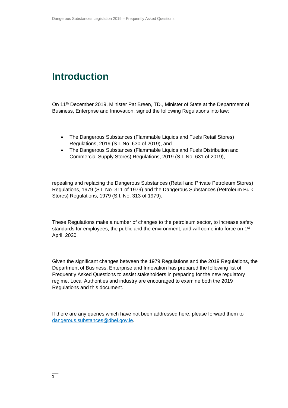### <span id="page-2-0"></span>**Introduction**

On 11th December 2019, Minister Pat Breen, TD., Minister of State at the Department of Business, Enterprise and Innovation, signed the following Regulations into law:

- The Dangerous Substances (Flammable Liquids and Fuels Retail Stores) Regulations, 2019 (S.I. No. 630 of 2019), and
- The Dangerous Substances (Flammable Liquids and Fuels Distribution and Commercial Supply Stores) Regulations, 2019 (S.I. No. 631 of 2019),

repealing and replacing the Dangerous Substances (Retail and Private Petroleum Stores) Regulations, 1979 (S.I. No. 311 of 1979) and the Dangerous Substances (Petroleum Bulk Stores) Regulations, 1979 (S.I. No. 313 of 1979).

These Regulations make a number of changes to the petroleum sector, to increase safety standards for employees, the public and the environment, and will come into force on 1<sup>st</sup> April, 2020.

Given the significant changes between the 1979 Regulations and the 2019 Regulations, the Department of Business, Enterprise and Innovation has prepared the following list of Frequently Asked Questions to assist stakeholders in preparing for the new regulatory regime. Local Authorities and industry are encouraged to examine both the 2019 Regulations and this document.

If there are any queries which have not been addressed here, please forward them to [dangerous.substances@dbei.gov.ie.](mailto:dangerous.substances@dbei.gov.ie)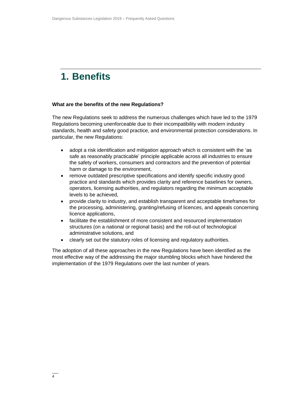# <span id="page-3-0"></span>**1. Benefits**

### **What are the benefits of the new Regulations?**

The new Regulations seek to address the numerous challenges which have led to the 1979 Regulations becoming unenforceable due to their incompatibility with modern industry standards, health and safety good practice, and environmental protection considerations. In particular, the new Regulations:

- adopt a risk identification and mitigation approach which is consistent with the 'as safe as reasonably practicable' principle applicable across all industries to ensure the safety of workers, consumers and contractors and the prevention of potential harm or damage to the environment,
- remove outdated prescriptive specifications and identify specific industry good practice and standards which provides clarity and reference baselines for owners, operators, licensing authorities, and regulators regarding the minimum acceptable levels to be achieved,
- provide clarity to industry, and establish transparent and acceptable timeframes for the processing, administering, granting/refusing of licences, and appeals concerning licence applications,
- facilitate the establishment of more consistent and resourced implementation structures (on a national or regional basis) and the roll-out of technological administrative solutions, and
- clearly set out the statutory roles of licensing and regulatory authorities.

The adoption of all these approaches in the new Regulations have been identified as the most effective way of the addressing the major stumbling blocks which have hindered the implementation of the 1979 Regulations over the last number of years.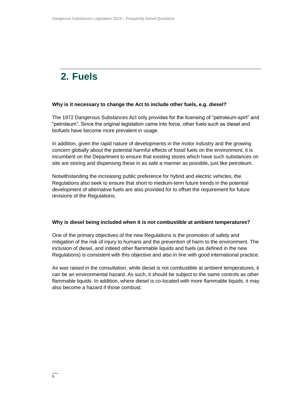# <span id="page-4-0"></span>**2. Fuels**

### **Why is it necessary to change the Act to include other fuels, e.g. diesel?**

The 1972 Dangerous Substances Act only provides for the licensing of "petroleum-spirt" and "petroleum". Since the original legislation came into force, other fuels such as diesel and biofuels have become more prevalent in usage.

In addition, given the rapid nature of developments in the motor industry and the growing concern globally about the potential harmful effects of fossil fuels on the environment, it is incumbent on the Department to ensure that existing stores which have such substances on site are storing and dispensing these in as safe a manner as possible, just like petroleum.

Notwithstanding the increasing public preference for hybrid and electric vehicles, the Regulations also seek to ensure that short to medium-term future trends in the potential development of alternative fuels are also provided for to offset the requirement for future revisions of the Regulations.

### **Why is diesel being included when it is not combustible at ambient temperatures?**

One of the primary objectives of the new Regulations is the promotion of safety and mitigation of the risk of injury to humans and the prevention of harm to the environment. The inclusion of diesel, and indeed other flammable liquids and fuels (as defined in the new Regulations) is consistent with this objective and also in line with good international practice.

As was raised in the consultation, while diesel is not combustible at ambient temperatures, it can be an environmental hazard. As such, it should be subject to the same controls as other flammable liquids. In addition, where diesel is co-located with more flammable liquids, it may also become a hazard if those combust.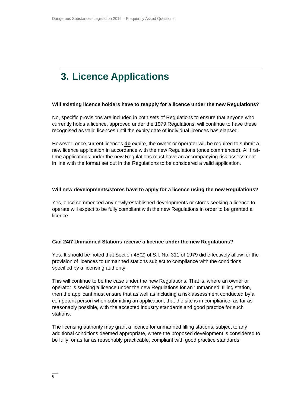# <span id="page-5-0"></span>**3. Licence Applications**

### **Will existing licence holders have to reapply for a licence under the new Regulations?**

No, specific provisions are included in both sets of Regulations to ensure that anyone who currently holds a licence, approved under the 1979 Regulations, will continue to have these recognised as valid licences until the expiry date of individual licences has elapsed.

However, once current licences **do** expire, the owner or operator will be required to submit a new licence application in accordance with the new Regulations (once commenced). All firsttime applications under the new Regulations must have an accompanying risk assessment in line with the format set out in the Regulations to be considered a valid application.

### **Will new developments/stores have to apply for a licence using the new Regulations?**

Yes, once commenced any newly established developments or stores seeking a licence to operate will expect to be fully compliant with the new Regulations in order to be granted a licence.

### **Can 24/7 Unmanned Stations receive a licence under the new Regulations?**

Yes. It should be noted that Section 45(2) of S.I. No. 311 of 1979 did effectively allow for the provision of licences to unmanned stations subject to compliance with the conditions specified by a licensing authority.

This will continue to be the case under the new Regulations. That is, where an owner or operator is seeking a licence under the new Regulations for an 'unmanned' filling station, then the applicant must ensure that as well as including a risk assessment conducted by a competent person when submitting an application, that the site is in compliance, as far as reasonably possible, with the accepted industry standards and good practice for such stations.

The licensing authority may grant a licence for unmanned filling stations, subject to any additional conditions deemed appropriate, where the proposed development is considered to be fully, or as far as reasonably practicable, compliant with good practice standards.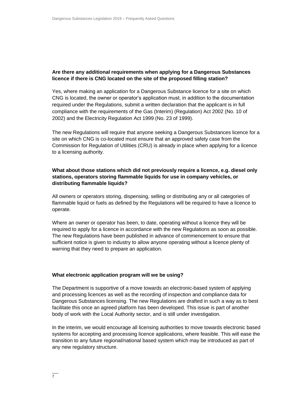### **Are there any additional requirements when applying for a Dangerous Substances licence if there is CNG located on the site of the proposed filling station?**

Yes, where making an application for a Dangerous Substance licence for a site on which CNG is located, the owner or operator's application must, in addition to the documentation required under the Regulations, submit a written declaration that the applicant is in full compliance with the requirements of the Gas (Interim) (Regulation) Act 2002 (No. 10 of 2002) and the Electricity Regulation Act 1999 (No. 23 of 1999).

The new Regulations will require that anyone seeking a Dangerous Substances licence for a site on which CNG is co-located must ensure that an approved safety case from the Commission for Regulation of Utilities (CRU) is already in place when applying for a licence to a licensing authority.

### **What about those stations which did not previously require a licence, e.g. diesel only stations, operators storing flammable liquids for use in company vehicles, or distributing flammable liquids?**

All owners or operators storing, dispensing, selling or distributing any or all categories of flammable liquid or fuels as defined by the Regulations will be required to have a licence to operate.

Where an owner or operator has been, to date, operating without a licence they will be required to apply for a licence in accordance with the new Regulations as soon as possible. The new Regulations have been published in advance of commencement to ensure that sufficient notice is given to industry to allow anyone operating without a licence plenty of warning that they need to prepare an application.

### **What electronic application program will we be using?**

The Department is supportive of a move towards an electronic-based system of applying and processing licences as well as the recording of inspection and compliance data for Dangerous Substances licensing. The new Regulations are drafted in such a way as to best facilitate this once an agreed platform has been developed. This issue is part of another body of work with the Local Authority sector, and is still under investigation.

In the interim, we would encourage all licensing authorities to move towards electronic based systems for accepting and processing licence applications, where feasible. This will ease the transition to any future regional/national based system which may be introduced as part of any new regulatory structure.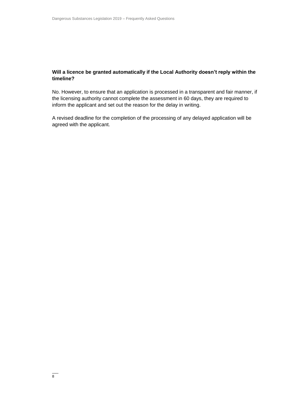### **Will a licence be granted automatically if the Local Authority doesn't reply within the timeline?**

No. However, to ensure that an application is processed in a transparent and fair manner, if the licensing authority cannot complete the assessment in 60 days, they are required to inform the applicant and set out the reason for the delay in writing.

A revised deadline for the completion of the processing of any delayed application will be agreed with the applicant.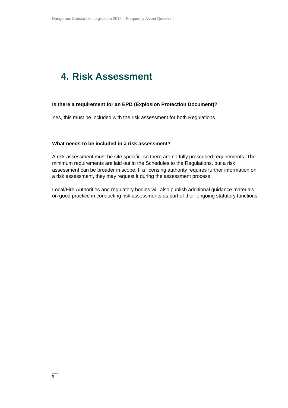### <span id="page-8-0"></span>**4. Risk Assessment**

### **Is there a requirement for an EPD (Explosion Protection Document)?**

Yes, this must be included with the risk assessment for both Regulations.

### **What needs to be included in a risk assessment?**

A risk assessment must be site specific, so there are no fully prescribed requirements. The minimum requirements are laid out in the Schedules to the Regulations, but a risk assessment can be broader in scope. If a licensing authority requires further information on a risk assessment, they may request it during the assessment process.

Local/Fire Authorities and regulatory bodies will also publish additional guidance materials on good practice in conducting risk assessments as part of their ongoing statutory functions.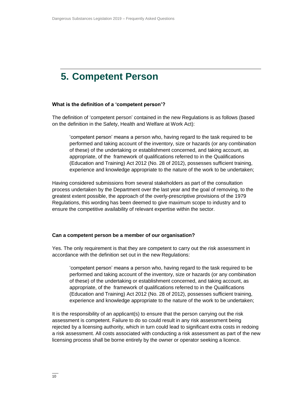### <span id="page-9-0"></span>**5. Competent Person**

### **What is the definition of a 'competent person'?**

The definition of 'competent person' contained in the new Regulations is as follows (based on the definition in the Safety, Health and Welfare at Work Act):

'competent person' means a person who, having regard to the task required to be performed and taking account of the inventory, size or hazards (or any combination of these) of the undertaking or establishment concerned, and taking account, as appropriate, of the framework of qualifications referred to in the Qualifications (Education and Training) Act 2012 (No. 28 of 2012), possesses sufficient training, experience and knowledge appropriate to the nature of the work to be undertaken;

Having considered submissions from several stakeholders as part of the consultation process undertaken by the Department over the last year and the goal of removing, to the greatest extent possible, the approach of the overly-prescriptive provisions of the 1979 Regulations, this wording has been deemed to give maximum scope to industry and to ensure the competitive availability of relevant expertise within the sector.

### **Can a competent person be a member of our organisation?**

Yes. The only requirement is that they are competent to carry out the risk assessment in accordance with the definition set out in the new Regulations:

'competent person' means a person who, having regard to the task required to be performed and taking account of the inventory, size or hazards (or any combination of these) of the undertaking or establishment concerned, and taking account, as appropriate, of the framework of qualifications referred to in the Qualifications (Education and Training) Act 2012 (No. 28 of 2012), possesses sufficient training, experience and knowledge appropriate to the nature of the work to be undertaken;

It is the responsibility of an applicant(s) to ensure that the person carrying out the risk assessment is competent. Failure to do so could result in any risk assessment being rejected by a licensing authority, which in turn could lead to significant extra costs in redoing a risk assessment. All costs associated with conducting a risk assessment as part of the new licensing process shall be borne entirely by the owner or operator seeking a licence.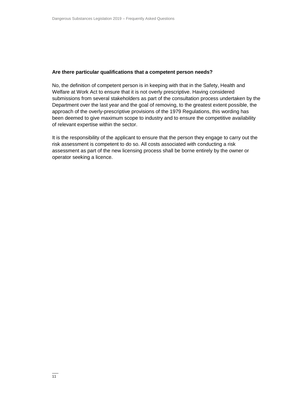### **Are there particular qualifications that a competent person needs?**

No, the definition of competent person is in keeping with that in the Safety, Health and Welfare at Work Act to ensure that it is not overly prescriptive. Having considered submissions from several stakeholders as part of the consultation process undertaken by the Department over the last year and the goal of removing, to the greatest extent possible, the approach of the overly-prescriptive provisions of the 1979 Regulations, this wording has been deemed to give maximum scope to industry and to ensure the competitive availability of relevant expertise within the sector.

It is the responsibility of the applicant to ensure that the person they engage to carry out the risk assessment is competent to do so. All costs associated with conducting a risk assessment as part of the new licensing process shall be borne entirely by the owner or operator seeking a licence.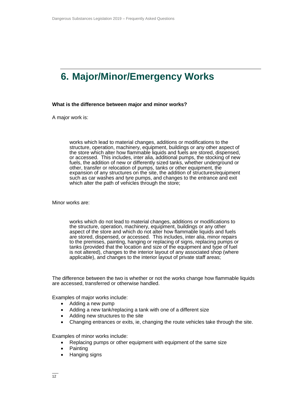# <span id="page-11-0"></span>**6. Major/Minor/Emergency Works**

### **What is the difference between major and minor works?**

A major work is:

works which lead to material changes, additions or modifications to the structure, operation, machinery, equipment, buildings or any other aspect of the store which alter how flammable liquids and fuels are stored, dispensed, or accessed. This includes, inter alia, additional pumps, the stocking of new fuels, the addition of new or differently sized tanks, whether underground or other, transfer or relocation of pumps, tanks or other equipment, the expansion of any structures on the site, the addition of structures/equipment such as car washes and tyre pumps, and changes to the entrance and exit which alter the path of vehicles through the store;

Minor works are:

works which do not lead to material changes, additions or modifications to the structure, operation, machinery, equipment, buildings or any other aspect of the store and which do not alter how flammable liquids and fuels are stored, dispensed, or accessed. This includes, inter alia, minor repairs to the premises, painting, hanging or replacing of signs, replacing pumps or tanks (provided that the location and size of the equipment and type of fuel is not altered), changes to the interior layout of any associated shop (where applicable), and changes to the interior layout of private staff areas;

The difference between the two is whether or not the works change how flammable liquids are accessed, transferred or otherwise handled.

Examples of major works include:

- Adding a new pump
- Adding a new tank/replacing a tank with one of a different size
- Adding new structures to the site
- Changing entrances or exits, ie, changing the route vehicles take through the site.

Examples of minor works include:

- Replacing pumps or other equipment with equipment of the same size
- Painting
- Hanging signs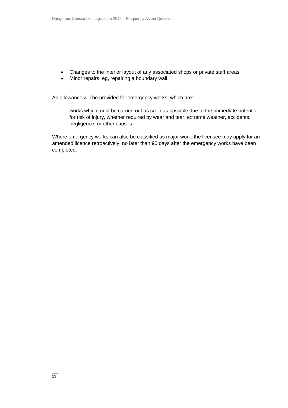- Changes to the interior layout of any associated shops or private staff areas
- Minor repairs, eg, repairing a boundary wall

An allowance will be provided for emergency works, which are:

works which must be carried out as soon as possible due to the immediate potential for risk of injury, whether required by wear and tear, extreme weather, accidents, negligence, or other causes

Where emergency works can also be classified as major work, the licensee may apply for an amended licence retroactively, no later than 90 days after the emergency works have been completed.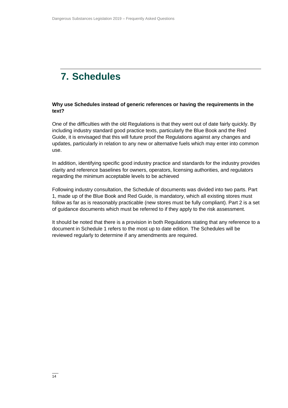# <span id="page-13-0"></span>**7. Schedules**

### **Why use Schedules instead of generic references or having the requirements in the text?**

One of the difficulties with the old Regulations is that they went out of date fairly quickly. By including industry standard good practice texts, particularly the Blue Book and the Red Guide, it is envisaged that this will future proof the Regulations against any changes and updates, particularly in relation to any new or alternative fuels which may enter into common use.

In addition, identifying specific good industry practice and standards for the industry provides clarity and reference baselines for owners, operators, licensing authorities, and regulators regarding the minimum acceptable levels to be achieved

Following industry consultation, the Schedule of documents was divided into two parts. Part 1, made up of the Blue Book and Red Guide, is mandatory, which all existing stores must follow as far as is reasonably practicable (new stores must be fully compliant). Part 2 is a set of guidance documents which must be referred to if they apply to the risk assessment.

It should be noted that there is a provision in both Regulations stating that any reference to a document in Schedule 1 refers to the most up to date edition. The Schedules will be reviewed regularly to determine if any amendments are required.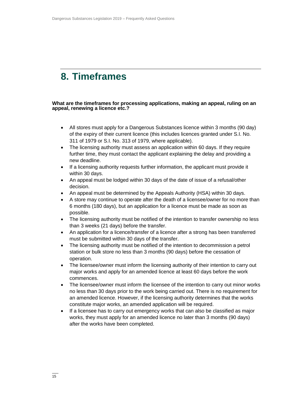### <span id="page-14-0"></span>**8. Timeframes**

**What are the timeframes for processing applications, making an appeal, ruling on an appeal, renewing a licence etc.?**

- All stores must apply for a Dangerous Substances licence within 3 months (90 day) of the expiry of their current licence (this includes licences granted under S.I. No. 311 of 1979 or S.I. No. 313 of 1979, where applicable).
- The licensing authority must assess an application within 60 days. If they require further time, they must contact the applicant explaining the delay and providing a new deadline.
- If a licensing authority requests further information, the applicant must provide it within 30 days.
- An appeal must be lodged within 30 days of the date of issue of a refusal/other decision.
- An appeal must be determined by the Appeals Authority (HSA) within 30 days.
- A store may continue to operate after the death of a licensee/owner for no more than 6 months (180 days), but an application for a licence must be made as soon as possible.
- The licensing authority must be notified of the intention to transfer ownership no less than 3 weeks (21 days) before the transfer.
- An application for a licence/transfer of a licence after a strong has been transferred must be submitted within 30 days of the transfer.
- The licensing authority must be notified of the intention to decommission a petrol station or bulk store no less than 3 months (90 days) before the cessation of operation.
- The licensee/owner must inform the licensing authority of their intention to carry out major works and apply for an amended licence at least 60 days before the work commences.
- The licensee/owner must inform the licensee of the intention to carry out minor works no less than 30 days prior to the work being carried out. There is no requirement for an amended licence. However, if the licensing authority determines that the works constitute major works, an amended application will be required.
- If a licensee has to carry out emergency works that can also be classified as major works, they must apply for an amended licence no later than 3 months (90 days) after the works have been completed.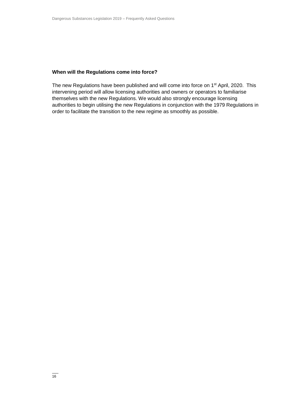### **When will the Regulations come into force?**

The new Regulations have been published and will come into force on 1<sup>st</sup> April, 2020. This intervening period will allow licensing authorities and owners or operators to familiarise themselves with the new Regulations. We would also strongly encourage licensing authorities to begin utilising the new Regulations in conjunction with the 1979 Regulations in order to facilitate the transition to the new regime as smoothly as possible.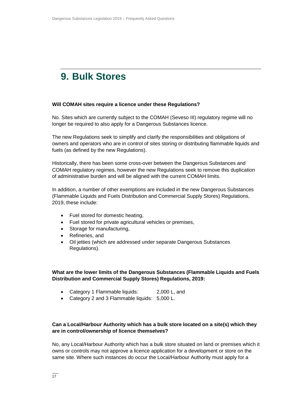### <span id="page-16-0"></span>**9. Bulk Stores**

### **Will COMAH sites require a licence under these Regulations?**

No. Sites which are currently subject to the COMAH (Seveso III) regulatory regime will no longer be required to also apply for a Dangerous Substances licence.

The new Regulations seek to simplify and clarify the responsibilities and obligations of owners and operators who are in control of sites storing or distributing flammable liquids and fuels (as defined by the new Regulations).

Historically, there has been some cross-over between the Dangerous Substances and COMAH regulatory regimes, however the new Regulations seek to remove this duplication of administrative burden and will be aligned with the current COMAH limits.

In addition, a number of other exemptions are included in the new Dangerous Substances (Flammable Liquids and Fuels Distribution and Commercial Supply Stores) Regulations, 2019, these include:

- Fuel stored for domestic heating,
- Fuel stored for private agricultural vehicles or premises,
- Storage for manufacturing,
- Refineries, and
- Oil jetties (which are addressed under separate Dangerous Substances Regulations).

**What are the lower limits of the Dangerous Substances (Flammable Liquids and Fuels Distribution and Commercial Supply Stores) Regulations, 2019:**

- Category 1 Flammable liquids: 2,000 L, and
- Category 2 and 3 Flammable liquids: 5,000 L.

### **Can a Local/Harbour Authority which has a bulk store located on a site(s) which they are in control/ownership of licence themselves?**

No, any Local/Harbour Authority which has a bulk store situated on land or premises which it owns or controls may not approve a licence application for a development or store on the same site. Where such instances do occur the Local/Harbour Authority must apply for a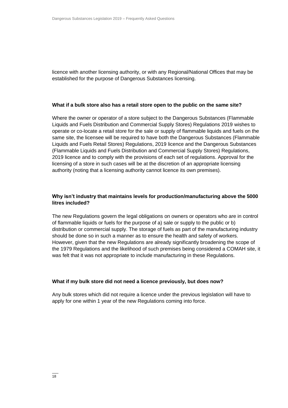licence with another licensing authority, or with any Regional/National Offices that may be established for the purpose of Dangerous Substances licensing.

### **What if a bulk store also has a retail store open to the public on the same site?**

Where the owner or operator of a store subject to the Dangerous Substances (Flammable Liquids and Fuels Distribution and Commercial Supply Stores) Regulations 2019 wishes to operate or co-locate a retail store for the sale or supply of flammable liquids and fuels on the same site, the licensee will be required to have both the Dangerous Substances (Flammable Liquids and Fuels Retail Stores) Regulations, 2019 licence and the Dangerous Substances (Flammable Liquids and Fuels Distribution and Commercial Supply Stores) Regulations, 2019 licence and to comply with the provisions of each set of regulations. Approval for the licensing of a store in such cases will be at the discretion of an appropriate licensing authority (noting that a licensing authority cannot licence its own premises).

### **Why isn't industry that maintains levels for production/manufacturing above the 5000 litres included?**

The new Regulations govern the legal obligations on owners or operators who are in control of flammable liquids or fuels for the purpose of a) sale or supply to the public or b) distribution or commercial supply. The storage of fuels as part of the manufacturing industry should be done so in such a manner as to ensure the health and safety of workers. However, given that the new Regulations are already significantly broadening the scope of the 1979 Regulations and the likelihood of such premises being considered a COMAH site, it was felt that it was not appropriate to include manufacturing in these Regulations.

### **What if my bulk store did not need a licence previously, but does now?**

Any bulk stores which did not require a licence under the previous legislation will have to apply for one within 1 year of the new Regulations coming into force.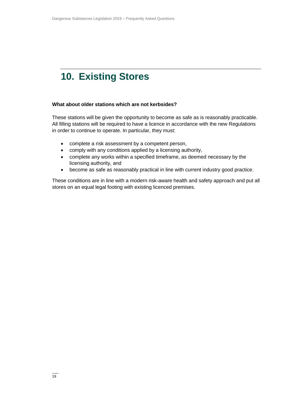# <span id="page-18-0"></span>**10. Existing Stores**

### **What about older stations which are not kerbsides?**

These stations will be given the opportunity to become as safe as is reasonably practicable. All filling stations will be required to have a licence in accordance with the new Regulations in order to continue to operate. In particular, they must:

- complete a risk assessment by a competent person,
- comply with any conditions applied by a licensing authority,
- complete any works within a specified timeframe, as deemed necessary by the licensing authority, and
- become as safe as reasonably practical in line with current industry good practice.

These conditions are in line with a modern risk-aware health and safety approach and put all stores on an equal legal footing with existing licenced premises.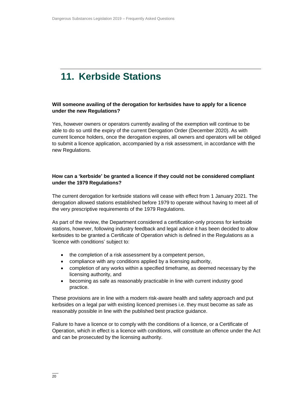# <span id="page-19-0"></span>**11. Kerbside Stations**

### **Will someone availing of the derogation for kerbsides have to apply for a licence under the new Regulations?**

Yes, however owners or operators currently availing of the exemption will continue to be able to do so until the expiry of the current Derogation Order (December 2020). As with current licence holders, once the derogation expires, all owners and operators will be obliged to submit a licence application, accompanied by a risk assessment, in accordance with the new Regulations.

### **How can a 'kerbside' be granted a licence if they could not be considered compliant under the 1979 Regulations?**

The current derogation for kerbside stations will cease with effect from 1 January 2021. The derogation allowed stations established before 1979 to operate without having to meet all of the very prescriptive requirements of the 1979 Regulations.

As part of the review, the Department considered a certification-only process for kerbside stations, however, following industry feedback and legal advice it has been decided to allow kerbsides to be granted a Certificate of Operation which is defined in the Regulations as a 'licence with conditions' subject to:

- the completion of a risk assessment by a competent person,
- compliance with any conditions applied by a licensing authority,
- completion of any works within a specified timeframe, as deemed necessary by the licensing authority, and
- becoming as safe as reasonably practicable in line with current industry good practice.

These provisions are in line with a modern risk-aware health and safety approach and put kerbsides on a legal par with existing licenced premises i.e. they must become as safe as reasonably possible in line with the published best practice guidance.

Failure to have a licence or to comply with the conditions of a licence, or a Certificate of Operation, which in effect is a licence with conditions, will constitute an offence under the Act and can be prosecuted by the licensing authority.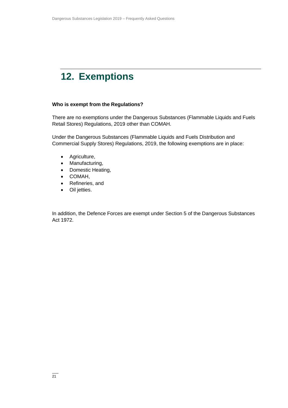# <span id="page-20-0"></span>**12. Exemptions**

### **Who is exempt from the Regulations?**

There are no exemptions under the Dangerous Substances (Flammable Liquids and Fuels Retail Stores) Regulations, 2019 other than COMAH.

Under the Dangerous Substances (Flammable Liquids and Fuels Distribution and Commercial Supply Stores) Regulations, 2019, the following exemptions are in place:

- Agriculture,
- Manufacturing,
- Domestic Heating,
- COMAH,
- Refineries, and
- Oil jetties.

In addition, the Defence Forces are exempt under Section 5 of the Dangerous Substances Act 1972.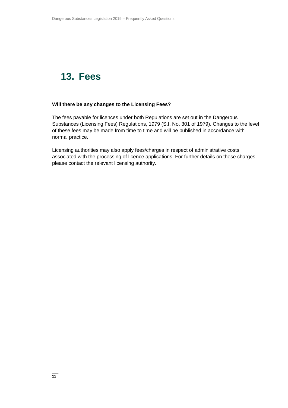### <span id="page-21-0"></span>**13. Fees**

### **Will there be any changes to the Licensing Fees?**

The fees payable for licences under both Regulations are set out in the Dangerous Substances (Licensing Fees) Regulations, 1979 (S.I. No. 301 of 1979). Changes to the level of these fees may be made from time to time and will be published in accordance with normal practice.

Licensing authorities may also apply fees/charges in respect of administrative costs associated with the processing of licence applications. For further details on these charges please contact the relevant licensing authority.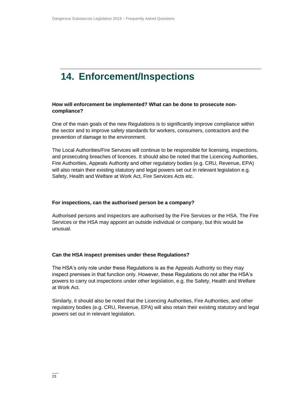### <span id="page-22-0"></span>**14. Enforcement/Inspections**

### **How will enforcement be implemented? What can be done to prosecute noncompliance?**

One of the main goals of the new Regulations is to significantly improve compliance within the sector and to improve safety standards for workers, consumers, contractors and the prevention of damage to the environment.

The Local Authorities/Fire Services will continue to be responsible for licensing, inspections, and prosecuting breaches of licences. It should also be noted that the Licencing Authorities, Fire Authorities, Appeals Authority and other regulatory bodies (e.g. CRU, Revenue, EPA) will also retain their existing statutory and legal powers set out in relevant legislation e.g. Safety, Health and Welfare at Work Act, Fire Services Acts etc.

### **For inspections, can the authorised person be a company?**

Authorised persons and inspectors are authorised by the Fire Services or the HSA. The Fire Services or the HSA may appoint an outside individual or company, but this would be unusual.

### **Can the HSA inspect premises under these Regulations?**

The HSA's only role under these Regulations is as the Appeals Authority so they may inspect premises in that function only. However, these Regulations do not alter the HSA's powers to carry out inspections under other legislation, e.g. the Safety, Health and Welfare at Work Act.

Similarly, it should also be noted that the Licencing Authorities, Fire Authorities, and other regulatory bodies (e.g. CRU, Revenue, EPA) will also retain their existing statutory and legal powers set out in relevant legislation.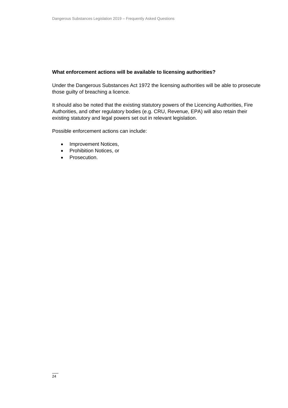### **What enforcement actions will be available to licensing authorities?**

Under the Dangerous Substances Act 1972 the licensing authorities will be able to prosecute those guilty of breaching a licence.

It should also be noted that the existing statutory powers of the Licencing Authorities, Fire Authorities, and other regulatory bodies (e.g. CRU, Revenue, EPA) will also retain their existing statutory and legal powers set out in relevant legislation.

Possible enforcement actions can include:

- Improvement Notices,
- Prohibition Notices, or
- Prosecution.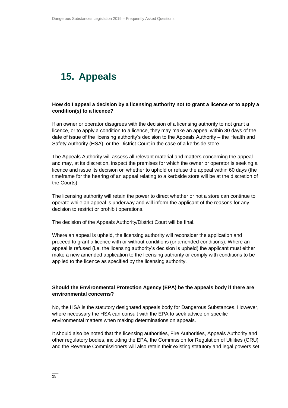# <span id="page-24-0"></span>**15. Appeals**

### **How do I appeal a decision by a licensing authority not to grant a licence or to apply a condition(s) to a licence?**

If an owner or operator disagrees with the decision of a licensing authority to not grant a licence, or to apply a condition to a licence, they may make an appeal within 30 days of the date of issue of the licensing authority's decision to the Appeals Authority – the Health and Safety Authority (HSA), or the District Court in the case of a kerbside store.

The Appeals Authority will assess all relevant material and matters concerning the appeal and may, at its discretion, inspect the premises for which the owner or operator is seeking a licence and issue its decision on whether to uphold or refuse the appeal within 60 days (the timeframe for the hearing of an appeal relating to a kerbside store will be at the discretion of the Courts).

The licensing authority will retain the power to direct whether or not a store can continue to operate while an appeal is underway and will inform the applicant of the reasons for any decision to restrict or prohibit operations.

The decision of the Appeals Authority/District Court will be final.

Where an appeal is upheld, the licensing authority will reconsider the application and proceed to grant a licence with or without conditions (or amended conditions). Where an appeal is refused (i.e. the licensing authority's decision is upheld) the applicant must either make a new amended application to the licensing authority or comply with conditions to be applied to the licence as specified by the licensing authority.

### **Should the Environmental Protection Agency (EPA) be the appeals body if there are environmental concerns?**

No, the HSA is the statutory designated appeals body for Dangerous Substances. However, where necessary the HSA can consult with the EPA to seek advice on specific environmental matters when making determinations on appeals.

It should also be noted that the licensing authorities, Fire Authorities, Appeals Authority and other regulatory bodies, including the EPA, the Commission for Regulation of Utilities (CRU) and the Revenue Commissioners will also retain their existing statutory and legal powers set